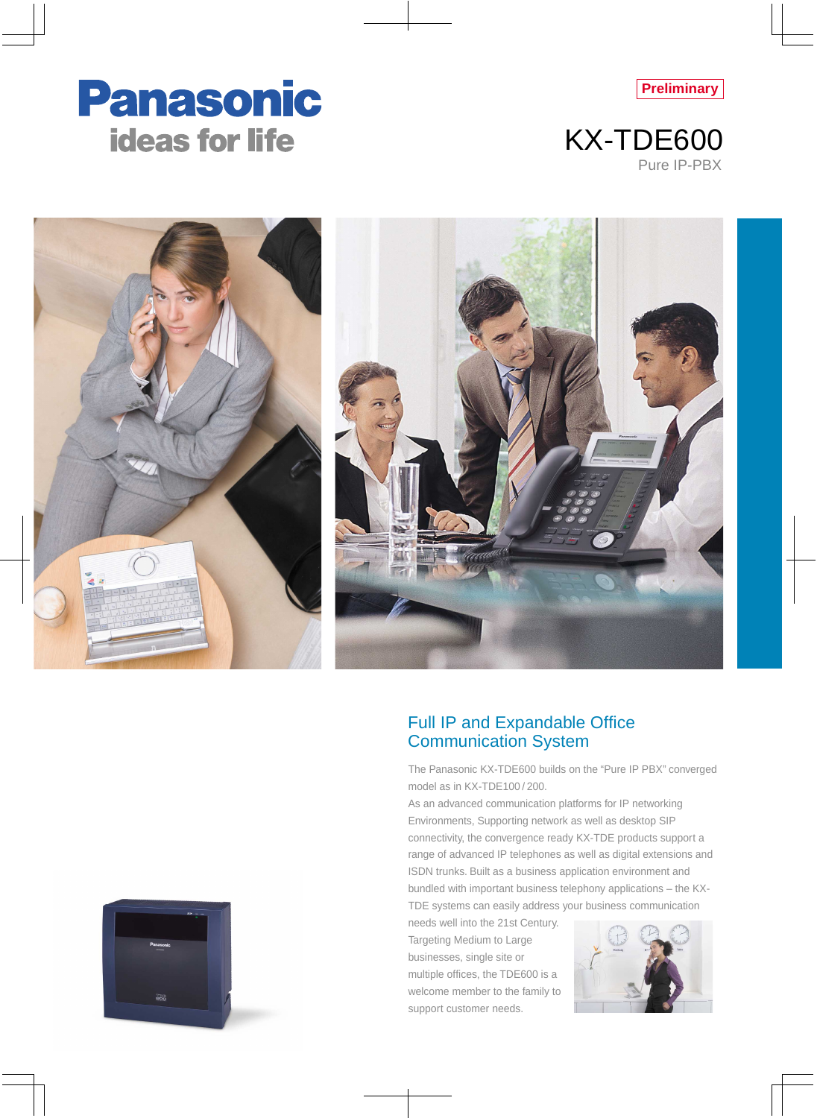









## Full IP and Expandable Office Communication System

The Panasonic KX-TDE600 builds on the "Pure IP PBX" converged model as in KX-TDE100 / 200.

As an advanced communication platforms for IP networking Environments, Supporting network as well as desktop SIP connectivity, the convergence ready KX-TDE products support a range of advanced IP telephones as well as digital extensions and ISDN trunks. Built as a business application environment and bundled with important business telephony applications – the KX-

TDE systems can easily address your business communication

needs well into the 21st Century. Targeting Medium to Large businesses, single site or multiple offices, the TDE600 is a welcome member to the family to support customer needs.